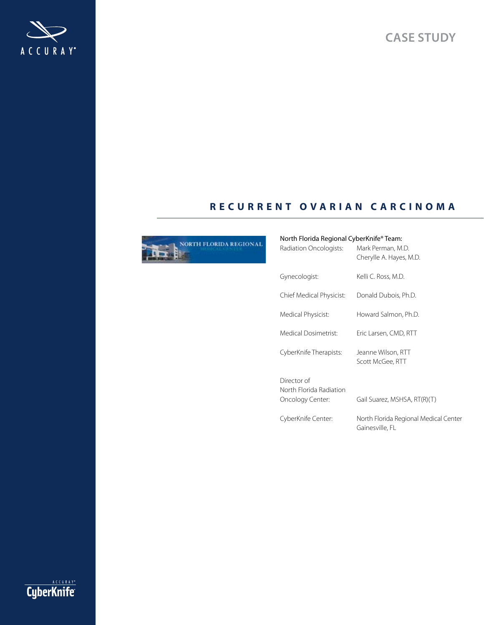**Case study**



# **R e c u R R e n t o v a R i a n c a R c i n o m a**



## North Florida Regional CyberKnife® Team:

| Radiation Oncologists:                                     | Mark Perman, M.D.<br>Cherylle A. Hayes, M.D.             |
|------------------------------------------------------------|----------------------------------------------------------|
| Gynecologist:                                              | Kelli C. Ross, M.D.                                      |
| Chief Medical Physicist:                                   | Donald Dubois, Ph.D.                                     |
| Medical Physicist:                                         | Howard Salmon, Ph.D.                                     |
| Medical Dosimetrist:                                       | Eric Larsen, CMD, RTT                                    |
| CyberKnife Therapists:                                     | Jeanne Wilson, RTT<br>Scott McGee, RTT                   |
| Director of<br>North Florida Radiation<br>Oncology Center: | Gail Suarez, MSHSA, RT(R)(T)                             |
| CyberKnife Center:                                         | North Florida Regional Medical Center<br>Gainesville, FL |

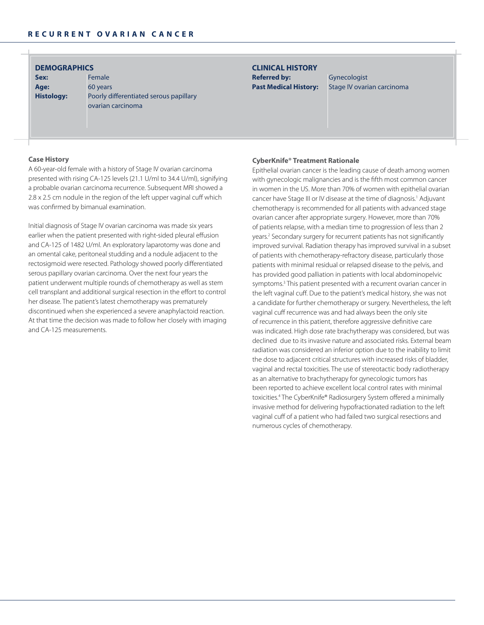## **DemoGRaPHicS**

Sex: Female Age: 60 years

**Histology:** Poorly differentiated serous papillary ovarian carcinoma

## **cLinicaL HiStoRY Referred by:** Gynecologist

Past Medical History: Stage IV ovarian carcinoma

### **case History**

A 60-year-old female with a history of Stage IV ovarian carcinoma presented with rising CA-125 levels (21.1 U/ml to 34.4 U/ml), signifying a probable ovarian carcinoma recurrence. Subsequent MRI showed a 2.8 x 2.5 cm nodule in the region of the left upper vaginal cuff which was confirmed by bimanual examination.

Initial diagnosis of Stage IV ovarian carcinoma was made six years earlier when the patient presented with right-sided pleural effusion and CA-125 of 1482 U/ml. An exploratory laparotomy was done and an omental cake, peritoneal studding and a nodule adjacent to the rectosigmoid were resected. Pathology showed poorly differentiated serous papillary ovarian carcinoma. Over the next four years the patient underwent multiple rounds of chemotherapy as well as stem cell transplant and additional surgical resection in the effort to control her disease. The patient's latest chemotherapy was prematurely discontinued when she experienced a severe anaphylactoid reaction. At that time the decision was made to follow her closely with imaging and CA-125 measurements.

## **cyberKnife® treatment Rationale**

Epithelial ovarian cancer is the leading cause of death among women with gynecologic malignancies and is the fifth most common cancer in women in the US. More than 70% of women with epithelial ovarian cancer have Stage III or IV disease at the time of diagnosis.<sup>1</sup> Adjuvant chemotherapy is recommended for all patients with advanced stage ovarian cancer after appropriate surgery. However, more than 70% of patients relapse, with a median time to progression of less than 2 years.<sup>2</sup> Secondary surgery for recurrent patients has not significantly improved survival. Radiation therapy has improved survival in a subset of patients with chemotherapy-refractory disease, particularly those patients with minimal residual or relapsed disease to the pelvis, and has provided good palliation in patients with local abdominopelvic symptoms.<sup>3</sup> This patient presented with a recurrent ovarian cancer in the left vaginal cuff. Due to the patient's medical history, she was not a candidate for further chemotherapy or surgery. Nevertheless, the left vaginal cuff recurrence was and had always been the only site of recurrence in this patient, therefore aggressive definitive care was indicated. High dose rate brachytherapy was considered, but was declined due to its invasive nature and associated risks. External beam radiation was considered an inferior option due to the inability to limit the dose to adjacent critical structures with increased risks of bladder, vaginal and rectal toxicities. The use of stereotactic body radiotherapy as an alternative to brachytherapy for gynecologic tumors has been reported to achieve excellent local control rates with minimal toxicities.4 The CyberKnife® Radiosurgery System offered a minimally invasive method for delivering hypofractionated radiation to the left vaginal cuff of a patient who had failed two surgical resections and numerous cycles of chemotherapy.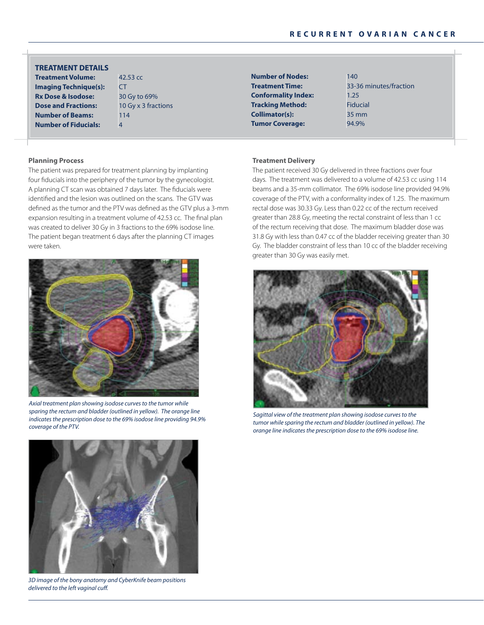**Treatment Volume:** 42.53 cc **tReatment DetaiLS**

**imaging Technique(s): CT Rx Dose & isodose:** 30 Gy to 69% **Dose and Fractions:** 10 Gy x 3 fractions **Number of Beams:** 114 **number of Fiducials:** 4

**Number of Nodes:** 140 **Conformality Index:** 1.25 **Tracking Method:** Fiducial **collimator(s):** 35 mm **Tumor Coverage:** 94.9%

**treatment time:** 33-36 minutes/fraction

## **Planning Process**

The patient was prepared for treatment planning by implanting four fiducials into the periphery of the tumor by the gynecologist. A planning CT scan was obtained 7 days later. The fiducials were identified and the lesion was outlined on the scans. The GTV was defined as the tumor and the PTV was defined as the GTV plus a 3-mm expansion resulting in a treatment volume of 42.53 cc. The final plan was created to deliver 30 Gy in 3 fractions to the 69% isodose line. The patient began treatment 6 days after the planning CT images were taken.



*Axial treatment plan showing isodose curves to the tumor while sparing the rectum and bladder (outlined in yellow). The orange line indicates the prescription dose to the 69% isodose line providing 94.9% coverage of the PTV.*



*3D image of the bony anatomy and CyberKnife beam positions delivered to the left vaginal cuff.*

#### **treatment Delivery**

The patient received 30 Gy delivered in three fractions over four days. The treatment was delivered to a volume of 42.53 cc using 114 beams and a 35-mm collimator. The 69% isodose line provided 94.9% coverage of the PTV, with a conformality index of 1.25. The maximum rectal dose was 30.33 Gy. Less than 0.22 cc of the rectum received greater than 28.8 Gy, meeting the rectal constraint of less than 1 cc of the rectum receiving that dose. The maximum bladder dose was 31.8 Gy with less than 0.47 cc of the bladder receiving greater than 30 Gy. The bladder constraint of less than 10 cc of the bladder receiving greater than 30 Gy was easily met.



*Sagittal view of the treatment plan showing isodose curves to the tumor while sparing the rectum and bladder (outlined in yellow). The orange line indicates the prescription dose to the 69% isodose line.*